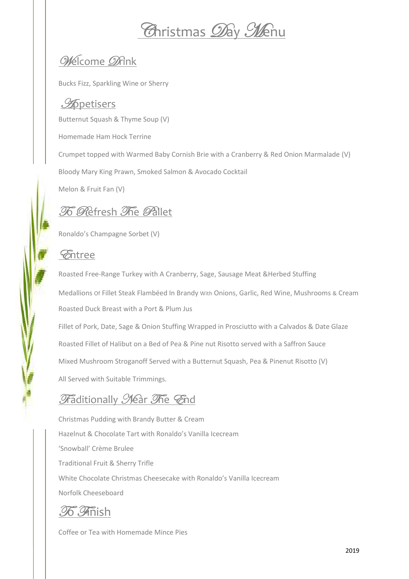# *Arristmas Day Menu*

## Welcome Ørink

Bucks Fizz, Sparkling Wine or Sherry

#### **Apetisers**

Butternut Squash & Thyme Soup (V) Homemade Ham Hock Terrine Crumpet topped with Warmed Baby Cornish Brie with a Cranberry & Red Onion Marmalade (V) Bloody Mary King Prawn, Smoked Salmon & Avocado Cocktail

Melon & Fruit Fan (V)

## **To Refresh The Pallet**

Ronaldo's Champagne Sorbet (V)

#### *Entree*

Roasted Free-Range Turkey with A Cranberry, Sage, Sausage Meat & Herbed Stuffing Medallions of Fillet Steak Flambéed In Brandy With Onions, Garlic, Red Wine, Mushrooms & Cream Roasted Duck Breast with a Port & Plum Jus Fillet of Pork, Date, Sage & Onion Stuffing Wrapped in Prosciutto with a Calvados & Date Glaze Roasted Fillet of Halibut on a Bed of Pea & Pine nut Risotto served with a Saffron Sauce Mixed Mushroom Stroganoff Served with a Butternut Squash, Pea & Pinenut Risotto (V) All Served with Suitable Trimmings.

### Fraditionally Mear The End

Christmas Pudding with Brandy Butter & Cream Hazelnut & Chocolate Tart with Ronaldo's Vanilla Icecream 'Snowball' Crème Brulee Traditional Fruit & Sherry Trifle White Chocolate Christmas Cheesecake with Ronaldo's Vanilla Icecream Norfolk Cheeseboard

**76. Thish** 

Coffee or Tea with Homemade Mince Pies